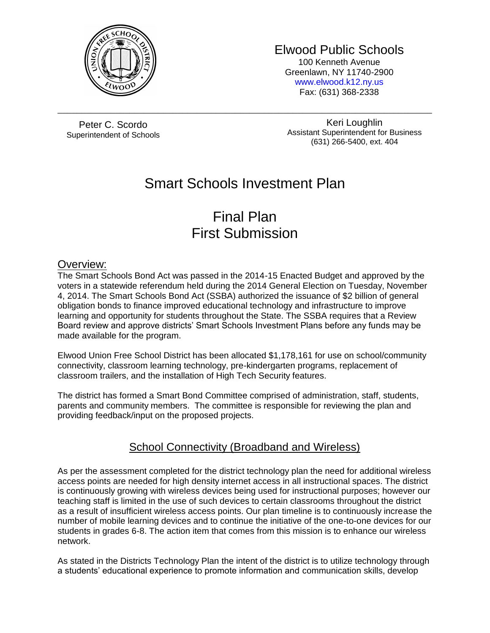

Elwood Public Schools

100 Kenneth Avenue Greenlawn, NY 11740-2900 [www.elwood.k12.ny.us](http://www.elwood.k12.ny.us/) Fax: (631) 368-2338

Peter C. Scordo Superintendent of Schools

Keri Loughlin Assistant Superintendent for Business (631) 266-5400, ext. 404

# Smart Schools Investment Plan

\_\_\_\_\_\_\_\_\_\_\_\_\_\_\_\_\_\_\_\_\_\_\_\_\_\_\_\_\_\_\_\_\_\_\_\_\_\_\_\_\_\_\_\_\_\_\_\_\_\_\_\_\_\_\_\_\_\_\_\_\_\_\_\_\_\_\_\_\_\_\_\_\_\_\_\_\_\_

# Final Plan First Submission

### Overview:

The Smart Schools Bond Act was passed in the 2014-15 Enacted Budget and approved by the voters in a statewide referendum held during the 2014 General Election on Tuesday, November 4, 2014. The Smart Schools Bond Act (SSBA) authorized the issuance of \$2 billion of general obligation bonds to finance improved educational technology and infrastructure to improve learning and opportunity for students throughout the State. The SSBA requires that a Review Board review and approve districts' Smart Schools Investment Plans before any funds may be made available for the program.

Elwood Union Free School District has been allocated \$1,178,161 for use on school/community connectivity, classroom learning technology, pre-kindergarten programs, replacement of classroom trailers, and the installation of High Tech Security features.

The district has formed a Smart Bond Committee comprised of administration, staff, students, parents and community members. The committee is responsible for reviewing the plan and providing feedback/input on the proposed projects.

### School Connectivity (Broadband and Wireless)

As per the assessment completed for the district technology plan the need for additional wireless access points are needed for high density internet access in all instructional spaces. The district is continuously growing with wireless devices being used for instructional purposes; however our teaching staff is limited in the use of such devices to certain classrooms throughout the district as a result of insufficient wireless access points. Our plan timeline is to continuously increase the number of mobile learning devices and to continue the initiative of the one-to-one devices for our students in grades 6-8. The action item that comes from this mission is to enhance our wireless network.

As stated in the Districts Technology Plan the intent of the district is to utilize technology through a students' educational experience to promote information and communication skills, develop